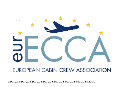

## **EUROPEAN CABIN CREW ASSOCIATION**

EurECCA- EurECCA- EurECCA- EurECCA- EurECCA- EurECCA- EurECCA- EurECCA 1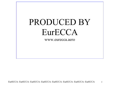# PRODUCED BY EurECCA

www.eurecca.aero

EurECCA- EurECCA- EurECCA- EurECCA- EurECCA- EurECCA- EurECCA- EurECCA 2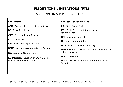## **FLIGHT TIME LIMITATIONS (FTL)**

### ACRONYMS IN ALPHABETICAL ORDER

| $a/c$ : Aircraft                                                | <b>ER:</b> Essential Requirement                                                                                                                                              |  |  |  |
|-----------------------------------------------------------------|-------------------------------------------------------------------------------------------------------------------------------------------------------------------------------|--|--|--|
| <b>AMC:</b> Acceptable Means of Compliance                      | <b>FC:</b> Flight Crew (Pilots)                                                                                                                                               |  |  |  |
| <b>BR: Basic Regulation</b>                                     | <b>FTL:</b> Flight Time Limitations and rest<br>requirements                                                                                                                  |  |  |  |
| <b>CAT: Commercial Air Transport</b>                            | <b>GM: Guidance Material</b>                                                                                                                                                  |  |  |  |
| <b>CC:</b> Cabin Crew<br><b>CS:</b> Certification Specification | <b>IR:</b> Implementing Rules<br><b>NAA: National Aviation Authority</b><br><b>Opinion:</b> EASA Opinion containing Implementing<br>rules proposals<br><b>Ops: Operations</b> |  |  |  |
|                                                                 |                                                                                                                                                                               |  |  |  |
| <b>ED Decision: Decision of EASA Executive</b>                  |                                                                                                                                                                               |  |  |  |
| Director containing CS/AMC/GM                                   |                                                                                                                                                                               |  |  |  |
|                                                                 |                                                                                                                                                                               |  |  |  |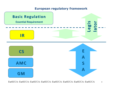## **European regulatory framework**

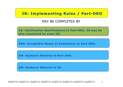## **IR: Implementing Rules / Part-ORO**

## MAY BE COMPLETED BY

**CS: Certification Specifications to Part-ORO. CS may be also completed by some GM. also completed by some GM.**

**AMC: Acceptable Means of Compliance to Part-ORO.** 

**GM: Guidance Material to Part GM: Guidance Material to Part-ORO.**

**GM: Guidance Material to CS GM: Guidance Material to CS.**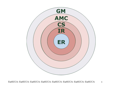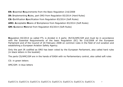**ER: E**ssential **R**equirements from the Basic Regulation 216/2008

**IR: I**mplementing **R**ules, part ORO from Regulation 83/2014 (Hard Rules)

**CS: C**ertification **S**pecification from Regulation 83/2014 (Soft Rules)

**AMC: A**cceptable **M**eans of **C**ompliance from Regulation 83/2014 (Soft Rules)

**GM: G**uidance **M**aterial from Regulation 83/2014 (Soft Rules)

**R**egulation 83/2014 so called FTL is divided in 4 parts: IR/CS/AMC/GM and must be in accordance with the Essential Requirements of the basic Regulation (EC) No 216/2008 of the European Parliament and of the Council of 20 February 2008 on common rules in the field of civil aviation and establishing a European Aviation Safety Agency.

Only the part IR codified as ORO has been voted by the European Parliament, also called hard rules (in black letters in the booklet)

The parts CS/AMC/GM are in the hands of EASA with no Parliamentary control, also called soft rules

CS: in green letters

AMC/GM: in blue letters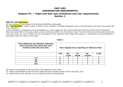#### **PART-ORO (ORGANISATION REQUIREMENTS) Subpart FTL — Flight and duty time limitations and rest requirements Section 1**

#### **ORO.FTL.105 Definitions**

For the purpose of this Subpart, the following definitions shall apply:

**(1) "Acclimatised"** means a state in which a crew member's circadian biological clock is synchronised to the time zone where the crew member is.

A crew member is considered to be acclimatised to a 2-hour wide time zone surrounding the local time at the point of departure. When the local time at the place where a duty commences differs by more than 2 hours from the local time at the place where the next duty tarts, the crew member, for the calculation of the maximum daily flight duty period, is considered to be acclimatised in accordance with the values in the Table

| Time difference (h) between reference<br>time and local time where the crew<br>member starts the next duty | Time elapsed since reporting at reference time |                 |                |                  |            |  |  |
|------------------------------------------------------------------------------------------------------------|------------------------------------------------|-----------------|----------------|------------------|------------|--|--|
|                                                                                                            | $<$ 48                                         | $48 -$<br>71:59 | $72-$<br>95:59 | $96 -$<br>119:59 | $\geq 120$ |  |  |
| $\leq 4$                                                                                                   | в                                              |                 |                |                  |            |  |  |
| ≤6                                                                                                         | в                                              |                 |                |                  |            |  |  |
| ≤9                                                                                                         | в                                              |                 |                |                  |            |  |  |
|                                                                                                            | D                                              |                 |                |                  |            |  |  |

*Table 1*

"B" means acclimatised to the local time of the departure time zone,

"D" means acclimatised to the local time where the crew member starts his/her next duty, and

"X" means that a crew member is in an unknown state of acclimatizatio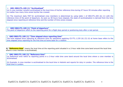#### Ø **GM1 ORO.FTL.105 (1) "Acclimatised"**

(a) A crew member remains acclimatised to the local time of his/her reference time during 47 hours 59 minutes after reporting no matter how many time zones he/she has crossed.

(b) The maximum daily FDP for acclimatised crew members is determined by using table 1 of ORO.FTL.205 (b) (1) with the reference time of the point of departure. As soon as 48 hours have elapsed, the state of acclimatisation is derived from the time elapsed since reporting at reference time and the number of time zones crossed.

Ø **GM2 ORO.FTL.105 (1) "Point of departure"** The point of departure refers to the reporting point for a flight duty period or positioning duty after a rest period.

Ø **GM3 ORO.FTL.105 (1) "Time elapsed since reporting time"** The time elapsed since reporting at reference time for operations applying CS FTL.1.235 (b) (3) (ii) at home base refers to the time elapsed since reporting for the first time at home base for a rotation

**2) "Reference time"** means the local time at the reporting point situated in a 2-hour wide time zone band around the local time where a crew member is acclimatised;

Ø **GM1 ORO.FTL.105 (2) "Reference time"**

(a) Reference time refers to reporting points in a 2-hour wide time zone band around the local time where a crew member is acclimatised.

(b) Example: A crew member is acclimatised to the local time in Helsinki and reports for duty in London. The reference time is the local time in London.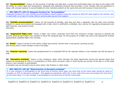**(3) "Accommodation"** means, for the purpose of standby and split duty, a quiet and comfortable place not open to the public with the ability to control light and temperature, equipped with adequate furniture that provides a crew member with the possibility to sleep, with enough capacity to accommodate all crew members present at the same time and with access to food and drink;

Ø **GM1 ORO.FTL.105 (3) Adequate furniture for "Accomodation"**  Adequate furniture for crew member accommodation should include a seat that reclines at least 45° back angle to the vertical, has a seat width of at least 20 inches (50cm) and provides leg and foot support.

**(4) "Suitable accommodation"** means, for the purpose of standby, split duty and rest, a separate room for each crew member located in a quiet environment and equipped with a bed, which is sufficiently ventilated, has a device for regulating temperature and light intensity, and access to food and drink;

**(5) "Augmented flight crew"** means a flight crew which comprises more than the minimum number required to operate the aircraft, allowing each flight crew member to leave the assigned post, for the purpose of in-flight rest, and to be replaced by another appropriately qualified flight crew member;

(**6) "Break"** means a period of time within a flight duty period, shorter than a rest period, counting as duty and during which a crew member is free of all tasks;

**(7) "Delayed reporting"** means the postponement of a scheduled FDP by the operator before a crew member has left the place of rest;

**(8) "Disruptive schedule"** means a crew member's roster which disrupts the sleep opportunity during the optimal sleep time window by comprising an FDP or a combination of FDPs which encroach, start or finish during any portion of the day or of the night where a crew member is acclimatised.

A schedule may be disruptive due to early starts, late finishes or night duties.

Ø **GM1 ORO.FTL.105 (8) "Determination of disruptive schedule"**

If a crew member is acclimatised to the local time at his/her home base, the local time at the home base should be used to consider an FDP as 'disruptive schedule'. This applies to operations within the 2-hour wide time zone surrounding the local time at the home base, if a crew member is acclimatised to the local time at his/her home base.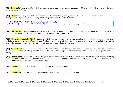**(9) "Night duty"** means a duty period encroaching any portion of the period between 02:00 and 04:59 in the time zone to which the crew is acclimatised;

**(10) "Duty"** means any task that a crew member performs for the operator, including flight duty, administrative work, giving or receiving training and checking, positioning, and some elements of standby;

Ø **GM1 ORO.FTL.105 (10) Elements of standby for duty** ORO.FTL.225 (c) and (d) and CS FTL.1.225 (b) (2) determine which elements of standby count as duty

**(11) "duty period"** means a period which starts when a crew member is required by an operator to report for or to commence a duty and ends when that person is free of all duties, including post-flight duty;

**(12) "flight duty period ('FDP')"** means a period that commences when a crew member is required to report for duty, which includes a sector or a series of sectors, and finishes when the aircraft finally comes to rest and the engines are shut down, at the end of the last sector on which the crew member acts as an operating crew member;

**(13) "flight time"** means, for aeroplanes and touring motor gliders, the time between an aircraft first moving from its parking place for the purpose of taking off until it comes to rest on the designated parking position and all engines or propellers are shut down;

**(14) "home base"** means the location, assigned by the operator to the crew member, from where the crew member normally starts and ends a duty period or a series of duty periods and where, under normal circumstances, the operator is not responsible for the accommodation of the crew member concerned;

**(15) "local day"** means a 24-hour period commencing at 00:00 local time;

**(16) "local night"** means a period of 8 hours falling between 22:00 and 08:00 local time;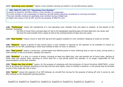#### **(17) "operating crew member"** means a crew member carrying out duties in an aircraft during a sector;

Ø **GM1 ORO.FTL.105 (17) "Operating Crew Member"** A person on board an aircraft is either a crew member or a passenger. If a crew member is not a passenger on board an aircraft he/she should be considered as 'carrying out duties'. The crew member remains an operating crew member during in-flight rest. In-flight rest counts in full as FDP, and for the purpose of ORO.FTL.210.

**(18) "Positioning"** means the transferring of a non-operating crew member from one place to another, at the behest of the operator, excluding:

- the time of travel from a private place of rest to the designated reporting place at home base and vice versa, and
- the time for local transfer from a place of rest to the commencement of duty and vice versa;

**(19) "Rest facility"** means a bunk or seat with leg and foot support suitable for crew members' sleeping on board an aircraft;

**(20) "Reserve"** means a period of time during which a crew member is required by the operator to be available to receive an assignment for an FDP, positioning or other duty notified at least 10 hours in advance

**(21) "Rest period"** means a continuous, uninterrupted and defined period of time, following duty or prior to duty, during which a crew member is free of all duties, standby and reserve;

**(22) "Rotation"** is a duty or a series of duties, including at least one flight duty, and rest periods out of home base, starting at home base and ending when returning to home base for a rest period where the operator is no longer responsible for the accommodation of the crew member;

**(23) "Single day free of duty"** means, for the purpose of complying with the provisions of Council Directive 2000/79/EC, a time free of all duties and standby consisting of one day and two local nights, which is notified in advance. A rest period may be included as part of the single day free of duty;

**(24) "Sector"** means the segment of an FDP between an aircraft first moving for the purpose of taking off until it comes to rest after landing on the designated parking position;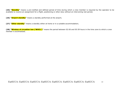**(25) "Standby"** means a pre-notified and defined period of time during which a crew member is required by the operator to be available to receive an assignment for a flight, positioning or other duty without an intervening rest period;

**(26) "Airport standby"** means a standby performed at the airport;

**(27) "Other standby"** means a standby either at home or in a suitable accommodation;

**(28) "Window of circadian low ('WOCL')"** means the period between 02:00 and 05:59 hours in the time zone to which a crew member is acclimatised.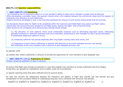#### **ORO.FTL.110 Operator responsibilities**

#### Ø **AMC1 ORO.FTL.110 Scheduling**

(a) Scheduling has an important impact on a crew member's ability to sleep and to maintain a proper level of alertness. When developing a workable roster, the operator should strike a fair balance between the commercial needs and the capacity of individual crew members to work effectively.

Rosters should be developed in such a way that they distribute the amount of work evenly among those that are involved.

(b) Schedules should allow for flights to be completed within the maximum permitted flight duty period and flight rosters should take into account the time needed for pre-flight duties, taxiing, the flight- and turnaround times. Other factors to be considered when planning duty periods should include:

(1) the allocation of work patterns which avoid undesirable practices such as alternating day/night duties, alternating eastward-westward or westward-eastward time zone transitions, positioning of crew members so that a serious disruption of established sleep/work patterns occurs;

(2) scheduling sufficient rest periods especially after long flights crossing many time zones; and

(3) preparation of duty rosters sufficiently in advance with planning of recurrent extended recovery rest periods and notification of the crew members well in advance to plan adequate pre-duty rest.

An operator shall:

(a) publish duty rosters sufficiently in advance to provide the opportunity for crew members to plan adequate rest;

Ø **AMC1 ORO.FTL.110 (a) Publication of rosters** Rosters should be published 14 days in advance.

(b) ensure that flight duty periods are planned in a way that enables crew members to remain sufficiently free from fatigue so that they can operate to a satisfactory level of safety under all circumstances;

(c) specify reporting times that allow sufficient time for ground duties;

(d) take into account the relationship between the frequency and pattern of flight duty periods and rest periods and give consideration to the cumulative effects of undertaking long duty hours combined with minimum rest periods;

EurECCA- EurECCA- EurECCA- EurECCA- EurECCA- EurECCA- EurECCA- EurECCA 14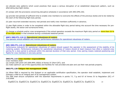(e) allocate duty patterns which avoid practices that cause a serious disruption of an established sleep/work pattern, such as alternating day/night duties;

(f) comply with the provisions concerning disruptive schedules in accordance with ARO.OPS.230;

(g) provide rest periods of sufficient time to enable crew members to overcome the effects of the previous duties and to be rested by the start of the following flight duty period;

(h) plan recurrent extended recovery rest periods and notify crew members sufficiently in advance;

(i) plan flight duties in order to be completed within the allowable flight duty period taking into account the time necessary for preflight duties, the sector and turnaround times;

(j) change a schedule and/or crew arrangements if the actual operation exceeds the maximum flight duty period on more than 33  $\%$ of the flight duties in that schedule during a scheduled seasonal period.

#### **AMC1 ORO.FTL.110 (j) Operational robustness of rosters**

The operator should establish and monitor performance indicators for operational robustness of rosters.

#### **GM1 ORO.FTL.110 (j) Operational robustness of rosters**

Performance indicators for operational robustness of rosters should support the operator in the assessment of the stability of its rostering system. Performance indicators for operational robustness of rosters should at least measure how often a rostered crew pairing for a duty period is achieved within the planned duration of that duty period. Crew pairing means rostered positioning and flights for crew members in one duty period.

#### **ORO.FTL.115 Crew member responsibilities**

Crew members shall:

- (a) comply with point CAT.GEN.MPA.100(b) of Annex IV (Part-CAT); and
- (b) make optimum use of the opportunities and facilities for rest provided and plan and use their rest periods properly.

#### **ORO.FTL.120 Fatigue risk management (FRM)**

(a) When FRM is required by this Subpart or an applicable certification specification, the operator shall establish, implement and maintain a FRM as an integral part of its management system.

The FRM shall ensure compliance with the essential requirements in points 7.f, 7.g and 8.f of Annex IV to Regulation (EC) n<sup>o</sup> 216/2008.

EurECCA- EurECCA- EurECCA- EurECCA- EurECCA- EurECCA- EurECCA- EurECCA 15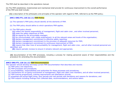The FRM shall be described in the operations manual.

(b) The FRM established, implemented and maintained shall provide for continuous improvement to the overall performance of the FRM and shall include:

**(1)** a description of the philosophy and principles of the operator with regard to FRM, referred to as the FRM policy;

#### **AMC1 ORO.FTL.120 (b) (1) FRM Policy**

(a) The operator's FRM policy should identify all the elements of FRM.

(b) The FRM policy should define to which operations FRM applies.

#### (c) The FRM policy should:

**(1)** reflect the shared responsibility of management, flight and cabin crew , and other involved personnel;

**(2)** state the safety objectives of FRM;

**(3)** be signed by the accountable manager;

**(1)** be communicated, with visible endorsement, to all the relevant areas and levels of the organisation;

**(2)** declare management commitment to effective safety reporting;

**(3)** declare management commitment to the provision of adequate resources for FRM;

**(4)** declare management commitment to continuous improvement of FRM;

 **(5)** require that clear lines of accountability for management, flight and cabin crew , and all other involved personnel are identified; and

**(6)** require periodic reviews to ensure it remains relevant and appropriate.

**(2)** documentation of the FRM processes, including a process for making personnel aware of their responsibilities and the procedure for amending this documentation

#### **AMC2 ORO.FTL.120 (b) (2) FRM Documentation**

The operator should develop and keep current FRM documentation that describes and records:

(a) FRM policy and objectives;

(b) FRM processes and procedures;

(c) accountabilities, responsibilities and authorities for these processes and procedures;

(d) mechanisms for on-going involvement of management, flight and cabin crew members, and all other involved personnel;

(e) FRM training programmes, training requirements and attendance records;

(f) scheduled and actual flight times, duty periods and rest periods with deviations and reasons for deviations; and

 $\mathbb{E}[\mathcal{L}_{\mathcal{L}}(\mathcal{L}_{\mathcal{L}}(\mathcal{L}_{\mathcal{L}}(\mathcal{L}_{\mathcal{L}}(\mathcal{L}_{\mathcal{L}}(\mathcal{L}_{\mathcal{L}}(\mathcal{L}_{\mathcal{L}}(\mathcal{L}_{\mathcal{L}}(\mathcal{L}_{\mathcal{L}}(\mathcal{L}_{\mathcal{L}}(\mathcal{L}_{\mathcal{L}}(\mathcal{L}_{\mathcal{L}}(\mathcal{L}_{\mathcal{L}}(\mathcal{L}_{\mathcal{L}}(\mathcal{L}_{\mathcal{L}}(\mathcal{L}_{\mathcal{L}}(\mathcal{L}_{\mathcal{L}}(\mathcal{L}_{\mathcal{$ 

(g) FRM outputs including findings from collected data, recommendations, and actions taken.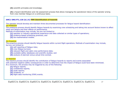**(3)** scientific principles and knowledge;

**(4)** a hazard identification and risk assessment process that allows managing the operational risk(s) of the operator arising from crew member fatigue on a continuous basis;

#### **AMC1 ORO.FTL.120 (b) (4) FRM Identification of hazards**

The operator should develop and maintain three documented processes for fatigue hazard identification:

(a) *Predictive*

The predictive process should identify fatigue hazards by examining crew scheduling and taking into account factors known to affect sleep and fatigue and their effects on performance.

Methods of examination may include, but are not limited to:

- **(1)** operator or industry operational experience and data collected on similar types of operations;
- **(2)** evidence-based scheduling practices; and
- **(3)** bio-mathematical models.

#### (b) *Proactive*

The proactive process should identify fatigue hazards within current flight operations. Methods of examination may include, but are not limited to:

- **(1)** self-reporting of fatigue risks;
- **(2)** crew fatigue surveys;
- **(3)** relevant flight and cabin crew performance data;
- **(4)** available safety databases and scientific studies; and
- **(5)** analysis of planned versus actual time worked.

#### (c) *Reactive*

The reactive process should identify the contribution of fatigue hazards to reports and events associated with potential negative safety consequences in order to determine how the impact of fatigue could have been minimized. At a minimum, the process may be triggered by any of the following:

- **(1)** fatigue reports;
- **(1)** confidential reports;
- **(2)** audit reports;
- **(3)** incidents; or
- **(4)** flight data monitoring (FDM) events.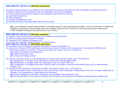#### **AMC2 ORO.FTL.120 (b) (4) FRM Risk assessment**

An operator should develop and implement risk assessment procedures that determine the probability and potential severity of fatigue-related events and identify when the associated risks require mitigation.

The risk assessment procedures should review identified hazards and link them to:

- (a) operational processes;
- (b) their probability;
- (c) possible consequences; and
- (d) the effectiveness of existing safety barriers and controls.

**(5)** a risk mitigation process that provides for remedial actions to be implemented promptly, which are necessary to effectively mitigate the operator's risk(s) arising from crew member fatigue and for continuous monitoring and regular assessment of the mitigation of fatigue risks achieved by such actions;

#### **AMC1 ORO.FTL.120 (b) (5) FRM Risk mitigation**

- An operator should develop and implement risk mitigation procedures that:
- (a) select the appropriate mitigation strategies;
- (b) implement the mitigation strategies; and
- (c) monitor the strategies' implementation and effectiveness.

#### **AMC1 ORO.FTL.120 (b) (5) FRM Safety assurance**

The operator should develop and maintain FRM safety assurance processes to:

- (a) provide for continuous FRM performance monitoring, analysis of trends, and measurement to validate the effectiveness
	- of the fatigue safety risk controls. The sources of data may include, but are not limited to:
		- **(1)** hazard reporting and investigations;
		- **(2)** audits and surveys; and
		- **(3)** reviews and fatigue studies;

(b) provide a formal process for the management of change which should include, but is not limited to:

- **(1)** identification of changes in the operational environment that may affect FRM;
- **(2)** identification of changes within the organisation that may affect FRM; and
- **(3)** consideration of available tools which could be used to maintain or improve FRM performance prior to implementing changes; and
- (c) provide for the continuous improvement of FRM. This should include, but is not limited to:
	- **(1)** the elimination and/or modification of risk controls have had unintended consequences or that are no longer needed due to changes in the operational or organisational environment;
	- **(2)** routine evaluations of facilities, equipment, documentation and procedures; and
	- **(3)** the determination of the need to introduce new processes and procedures to mitigate emerging fatigue-related risks.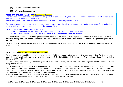- **(6)** FRM safety assurance processes;
- **(7)** FRM promotion processes.

#### **AMC1 ORO.FTL.120 (b) (9) FRM Promotion Process**

FRM promotion processes should support the on-going development of FRM, the continuous improvement of its overall performance, and attainment of optimum safety levels.

The following should be established and implemented by the operator as part of its FRM:

(a) training programmes to ensure competency commensurate with the roles and responsibilities of management, flight and cabin crew, and all other involved personnel under the planned FRM; and

(b) an effective FRM communication plan that:

- (1) explains FRM policies, procedures and responsibilities to all relevant stakeholders; and
- (2) describes communication channels used to gather and disseminate FRM-related information.

(c) The FRM shall correspond to the flight time specification scheme, the size of the operator and the nature and complexity of its activities, taking into account the hazards and associated risks inherent in those activities and the applicable flight time specification scheme.

(d) The operator shall take mitigating actions when the FRM safety assurance process shows that the required safety performance is not maintained.

#### **ORO.FTL.125 Flight time specification schemes**

(a) Operators shall establish, implement and maintain flight time specification schemes that are appropriate for the type(s) of operation performed and that comply with Regulation (EC) No 216/2008, this Subpart and other applicable legislation, including Directive 2000/79/EC.

(b) Before being implemented, flight time specification schemes, including any related FRM where required, shall be approved by the competent authority.

(c) To demonstrate compliance with Regulation (EC) n° 216/2008 and this Subpart, the operator shall apply the applicable certification specifications adopted by the Agency. Alternatively, if the operator wants to deviate from those certification specifications in accordance with Article 22(2) of Regulation (EC) No 216/2008, it shall provide the competent authority with a full description of the intended deviation prior to implementing it.

The description shall include any revisions to manuals or procedures that may be relevant, as well as an assessment demonstrating that the requirements of Regulation (EC) n° 216/2008 and of this Subpart are met.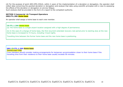(d) For the purpose of point ARO.OPS.235(d), within 2 years of the implementation of a deviation or derogation, the operator shall collect data concerning the granted deviation or derogation and analyse that data using scientific principles with a view to assessing the effects of the deviation or derogation on aircrew fatigue.

Such analysis shall be provided in the form of a report to the competent authority.

#### **SECTION 2 Commercial Air Transport Operators ORO.FTL.200 Home base**

An operator shall assign a home base to each crew member.

#### **CS FTL.1.200 Home base**

(a) The home base is a single airport location assigned with a high degree of permanence.

(b) In the case of a change of home base, the first recurrent extended recovery rest period prior to starting duty at the new home base is increased to 72 hours, including 3 local nights.

Travelling time between the former home base and the new home base is positioning.

#### **GM1 CS FTL.1.200 Home base** TRAVELLING TIME

Crew members should consider making arrangements for temporary accommodation closer to their home base if the travelling time from their residence to their home base usually exceeds 90 minutes.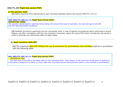#### **ORO.FTL.205 Flight duty period (FDP)**

#### **a) The operator shall:**

**(1)** define reporting times appropriate to each individual operation taking into account ORO.FTL.110 (c);

#### **GM1 ORO.FTL.205 (a) (1) Flight Duty Period (FDP) REPORTING TIMES**

The operator should specify reporting times taking into account the type of operation, the size and type of aircraft and the reporting airport conditions.

**(2)** establish procedures specifying how the commander shall, in case of special circumstances which could lead to severe fatigue, and after consultation with the crew members concerned, reduce the actual FDP and/or increase the rest period in order to eliminate any detrimental effect on flight safety.

#### **b) Basic maximum daily FDP**

**(1)** The maximum daily FDP without the use of extensions for acclimatised crew members shall be in accordance with the following table:

#### **GM1 ORO.FTL.205 (b) (1) Flight duty period (FDP)** REFERENCE TIME

 The start time of the FDP in the table refers to the 'reference time'. That means, to the local time of the point of departure, if this point of departure is within a 2-hour wide time zone band around the local time where a crew member is acclimatised.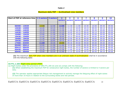| ×<br>٧ |  |
|--------|--|
|--------|--|

#### **Maximum daily FDP — Acclimatised crew members**

| Start of FDP at reference time   1-2 sectors |       | <b>3 sectors</b> | $\blacktriangleleft$ | 5              | 6              | 7              | 8              | 9              | 10             |
|----------------------------------------------|-------|------------------|----------------------|----------------|----------------|----------------|----------------|----------------|----------------|
|                                              |       |                  | <b>sectors</b>       | <b>sectors</b> | <b>sectors</b> | <b>sectors</b> | <b>sectors</b> | <b>sectors</b> | <b>sectors</b> |
|                                              |       |                  |                      |                |                |                |                |                |                |
| 06H00 - 13H29                                | 13:00 | 12:30            | 12:00                | 11:30          | 11:00          | 10:30          | 10:00          | 09:30          | 09:00          |
| 13H30 - 13H59                                | 12:45 | 12:15            | 11:45                | 11:15          | 10:45          | 10:15          | 09:45          | 09:15          | 09:00          |
| 14H00 - 14H29                                | 12:30 | 12:00            | 11:30                | 11:00          | 10:30          | 10:00          | 09:30          | 09:00          | 09:00          |
| 14H30 - 14H59                                | 12:15 | 11:45            | 11:15                | 10:45          | 10:15          | 09:45          | 09:15          | 09:00          | 09:00          |
| 15H00 - 15H29                                | 12:00 | 11:30            | 11:00                | 10:30          | 10:00          | 09:30          | 09:00          | 09:00          | 09:00          |
| 15H30 - 15H59                                | 11:45 | 11:15            | 10:45                | 10:15          | 09:45          | 09:15          | 09:00          | 09:00          | 09:00          |
| $16H00 - 16H29$                              | 11:30 | 11:00            | 10:30                | 10:00          | 09:30          | 09:00          | 09:00          | 09:00          | 09:00          |
| $16H30 - 16H59$                              | 11:15 | 10:45            | 10:15                | 09:45          | 09:15          | 09:00          | 09:00          | 09:00          | 09:00          |
| 17H00 - 04H59                                | 11:00 | 10:30            | 10:00                | 09:30          | 09:00          | 09:00          | 09:00          | 09:00          | 09:00          |
| 05H00 - 05H14                                | 12:00 | 11:30            | 11:00                | 10:30          | 10:00          | 09:30          | 09:00          | 09:00          | 09:00          |
| 05H15 - 05H29                                | 12:15 | 11:45            | 11:15                | 10:45          | 10:15          | 09:45          | 09:15          | 09:00          | 09:00          |
| 05H30 - 05H44                                | 12:30 | 12:00            | 11:30                | 11:00          | 10:30          | 10:00          | 09:30          | 09:00          | 09:00          |
| 05H45 - 05H59                                | 12:45 | 12:15            | 11:45                | 11:15          | 10:45          | 10:15          | 09:45          | 09:15          | 09:00          |

**(2)** The maximum daily FDP when crew members are in an unknown state of acclimatisation shall be in accordance with the following table:

#### **CS FTL.1.205 Flight duty period (FDP)**

(a) Night duties under the provisions of ORO.FTL.205 (b) and (d) comply with the following:

**(1)** When establishing the maximum FDP for consecutive night duties, the number of sectors is limited to 4 sectors per duty.

**(2)** The operator applies appropriate fatigue risk management to actively manage the fatiguing effect of night duties of more than 10 hours in relation to the surrounding duties and rest periods.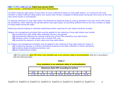#### **GM1 CS FTL.1.205 (a) (2) Flight duty period (FDP)**  NIGHT DUTIES – APPROPRIATE FATIGUE RISK MANAGEMENT

(a) When rostering night duties of more than 10 hours (referred to below as 'long night duties'), it is critical for the crew member to obtain sufficient sleep before such duties when he/she is adapted to being awake during day time hours at the local time where he/she is acclimatised.

To optimise alertness on long night duties, the likelihood of obtaining sleep as close as possible to the start of the FDP should be considered, when rostering rest periods before long night duties, by providing sufficient time to the crew member to adapt to being awake during the night.

Rostering practices leading to extended wakefulness before reporting for such duties should be avoided.

Fatigue risk management principles that could be applied to the rostering of long night duties may include:

- **(1)** avoiding long night duties after extended recovery rest periods
- **(2)** progressively delaying the rostered ending time of the FDPs preceding long night duties;
- **(3)** starting a block of night duties with a shorter FDP; and
- **(4)** avoiding the sequence of early starts and long night duties.
- (b) Fatigue risk management principles may be applied to the rostering of long night duties by means of:
	- **(1)** considering operator or industry operational experience and data collected on similar operations;
	- **(2)** evidence-based scheduling practices; and
	- **(3)** bio-mathematical models.

**(2)** The maximum daily FDP when crew members are in an unknown state of acclimatisation shall be in accordance with the following table:

*Table 3*

#### **Crew members in an unknown state of acclimatization**

| Maximum daily FDP according to sectors |       |       |       |       |  |  |
|----------------------------------------|-------|-------|-------|-------|--|--|
| $1 - 2$                                |       |       |       |       |  |  |
| 11۰∩∩                                  | 10.30 | 10۰00 | 09:30 | 09:00 |  |  |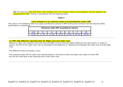**(3)** The maximum daily FDP when crew members are in an unknown state of acclimatisation and the operator has implemented a FRM, shall be in accordance with the following table:

#### *Table 4*

#### **Crew members in an unknown state of acclimatisation under FRM**

The values in the following table may apply provided the operator's FRM continuously monitors that the required safety performance is maintained.

| Maximum daily FDP according to sectors |       |       |       |       |  |  |
|----------------------------------------|-------|-------|-------|-------|--|--|
| $1 - 2$                                |       |       |       |       |  |  |
| 12:00                                  | 11:30 | 11:00 | 10:30 | 10:00 |  |  |

#### **(c) FDP with different reporting time for flight crew and cabin crew.**

Whenever cabin crew requires more time than the flight crew for their pre-flight briefing for the same sector or series of sectors, the FDP of the cabin crew may be extended by the difference in reporting time between the cabin crew and the flight crew.

The difference shall not exceed 1 hour.

The maximum daily FDP for cabin crew shall be based on the time at which the flight crew report for their FDP, but the FDP shall start at the reporting time of the cabin crew.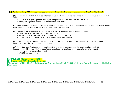#### **(d) Maximum daily FDP for acclimatised crew members with the use of extensions without in-flight rest.**

**(1)** The maximum daily FDP may be extended by up to 1 hour not more than twice in any 7 consecutive days. In that case:

(i) the minimum pre-flight and post-flight rest periods shall be increased by 2 hours; or

(ii) the post-flight rest period shall be increased by 4 hours.

**(2)** When extensions are used for consecutive FDPs, the additional pre- and post-flight rest between the two extended FDPs required under subparagraph 1 shall be provided consecutively.

**(3)** The use of the extension shall be planned in advance, and shall be limited to a maximum of:

- (i) 5 sectors when the WOCL is not encroached; or
- (ii) 4 sectors, when the WOCL is encroached by 2 hours or less; or
- (iii) 2 sectors, when the WOCL is encroached by more than 2 hours.

**(4)** Extension of the maximum basic daily FDP without in-flight rest shall not be combined with extensions due to inflight rest or split duty in the same duty period.

**(5)** Flight time specification schemes shall specify the limits for extensions of the maximum basic daily FDP in accordance with the certification specifications applicable to the type of operation, taking into account:

(i) the number of sectors flown; and

(ii) WOCL encroachment.

**CS FTL.1.205 Flight duty period (FDP)**

**b) Extension of FDP without in-flight rest**

The extension of FDP without in-flight rest under the provisions of ORO.FTL.205 (d) (5) is limited to the values specified in the table below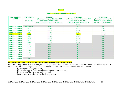#### **Table 5**

#### **Maximum daily FDP with extension**

| <b>Starting time</b> | 1-2 sectors | 3 sectors                                                     | 4 sectors                                                            | 5 sectors                                                 |
|----------------------|-------------|---------------------------------------------------------------|----------------------------------------------------------------------|-----------------------------------------------------------|
| of FDP               | (in hours)  | [Extension not possible if the FDP<br>encroaches on the "WOCL | <b>[Extension not possible if the FDP</b><br>encroaches on the "WOCL | <b>Extension not possible</b><br>if the FDP encroaches on |
|                      |             | (2H00-5H59) for more than 2 hours]                            | (2H00-5H59) for more than 2                                          | the "WOCL(2H00-5H59)]                                     |
|                      |             |                                                               | hours]                                                               |                                                           |
| $06H00 - 06H14$      | Not allowed | N/A                                                           | N/A                                                                  | N/A                                                       |
| 06H15 - 06H29        | 13:15       | 12:45                                                         | 12:15                                                                | 11:45                                                     |
| 06H30 - 06H44        | 13:30       | 13:00                                                         | 12:30                                                                | 12:00                                                     |
| 06H45 - 06H59        | 13:45       | 13:15                                                         | 12:45                                                                | 12:15                                                     |
| $07H00 - 13H29$      | 14:00       | 13:30                                                         | 13:00                                                                | 12:30                                                     |
| 13H30 - 13H59        | 13:45       | 13:15                                                         | 12:45                                                                | N/A                                                       |
| 14H00 - 14H29        | 13:30       | 13:00                                                         | 12:30                                                                | N/A                                                       |
| $14H30 - 14H59$      | 13:15       | 12:45                                                         | 12:15                                                                | N/A                                                       |
| $15H00 - 15H29$      | 13:00       | 12:30                                                         | 12:00                                                                | N/A                                                       |
| 15H30 - 15H59        | 12:45       | N/A                                                           | N/A                                                                  | N/A                                                       |
| $16H00 - 16H29$      | 12:30       | N/A                                                           | N/A                                                                  | N/A                                                       |
| $16H30 - 16H59$      | 12:15       | N/A                                                           | N/A                                                                  | N/A                                                       |
| 17H00 - 17H29        | 12:00       | N/A                                                           | N/A                                                                  | N/A                                                       |
| 17H30 - 17H59        | 11:45       | N/A                                                           | N/A                                                                  | N/A                                                       |
| 18H00 - 18H29        | 11:30       | N/A                                                           | N/A                                                                  | N/A                                                       |
| 18H30 - 18H59        | 11:15       | N/A                                                           | N/A                                                                  | N/A                                                       |
| 19H00 - 05H59        | N/A         | N/A                                                           | N/A                                                                  | N/A                                                       |

#### **(e) Maximum daily FDP with the use of extensions due to in-flight rest**

Flight time specification schemes shall specify the conditions for extensions of the maximum basic daily FDP with in- flight rest in accordance with the certification specifications applicable to the type of operation, taking into account:

(i) the number of sectors flown;

(ii) the minimum in-flight rest allocated to each crew member;

(iii) the type of in-flight rest facilities; and

(iv) the augmentation of the basic flight crew.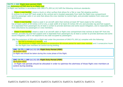**CS FTL.1.205 Flight duty period (FDP) (c) Extension of FDP due to in-flight rest**

In-flight rest facilities in accordance with ORO.FTL.205 (e) (iii) fulfil the following minimum standards:

— '**Class 1 rest facility**' means a bunk or other surface that allows for a flat or near flat sleeping position. It reclines to at least 80° back angle to the vertical and is located separately from both the flight crew compartment and the passenger cabin in an area that allows the crew member to control light, and provides isolation from noise and disturbance;

— '**Class 2 rest facility**' means a seat in an aircraft cabin that reclines at least 45° back angle to the vertical, has at least a pitch of 55 inches (137,5 cm), a seat width of at least 20 inches (50 cm) and provides leg and foot support. It is separated from passengers by at least a curtain to provide darkness and some sound mitigation, and is reasonably free from disturbance by passengers or crew members;

— '**Class 3 rest facility**' means a seat in an aircraft cabin or flight crew compartment that reclines at least 40° from the vertical, provides leg and foot support and is separated from passengers by at least a curtain to provide darkness and some sound mitigation, and is not adjacent to any seat occupied by passengers.

**(1)** The extension of FDP with in-flight rest under the provisions of ORO.FTL.205 (e) complies with the following:

(i) the FDP is limited to 3 sectors; and

(ii) the minimum in-flight rest period is a consecutive 90-minute period for each crew member and 2 consecutive hours for the flight crew members at control during landing.

#### **GM1 CS FTL.1.205 (c) (1) (ii) Flight Duty Period (FDP)**

#### IN-FLIGHT REST

In-flight rest should be taken during the cruise phase of the flight.

#### **GM2 CS FTL.1.205 (c) (1) (ii) Flight Duty Period (FDP)** IN-FLIGHT REST

 In-flight rest periods should be allocated in order to optimise the alertness of those flight crew members at control during landing.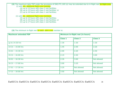**(2)** The maximum daily FDP under the provisions of ORO.FTL.205 (e) may be extended due to in-flight rest for flight crew: (i) with one additional flight crew member:

- (A) up to 14 hours with class 3 rest facilities;
- (B) up to 15 hours with class 2 rest facilities; or
- (C) up to 16 hours with class 1 rest facilities;
- (ii) with two additional flight crew members:
	- (A) up to 15 hours with class 3 rest facilities;
	- (B) up to 16 hours with class 2 rest facilities; or
	- (C) up to 17 hours with class 1 rest facilities.

**(3)** The minimum in-flight rest for each cabin crew member is:

| <b>Maximum extended FDP</b> | Minimum in-flight rest (in hours) |                |                |  |  |
|-----------------------------|-----------------------------------|----------------|----------------|--|--|
|                             | <b>Class 1</b>                    | <b>Class 2</b> | <b>Class 3</b> |  |  |
| up to 14:30 hrs             | 1:30                              | 1:30           | 1:30           |  |  |
| $14:31 - 15:00$ hrs         | 1:45                              | 2:00           | 2:20           |  |  |
| $15:01 - 15:30$ hrs         | 2:00                              | 2:20           | 2:40           |  |  |
| $15:31 - 16:00$ hrs         | 2:15                              | 2:40           | 3:00           |  |  |
| $16:01 - 16:30$ hrs         | 2:35                              | 3:00           | Not allowed    |  |  |
| $16:31 - 17:00$ hrs         | 3:00                              | 3:25           | Not allowed    |  |  |
| $17:01 - 17:30$ hrs         | 3:25                              | Not allowed    | Not allowed    |  |  |
| $17:31 - 18:00$ hrs         | 3:50                              | Not allowed    | Not allowed    |  |  |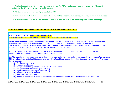**(4)** The limits specified in (2) may be increased by 1 hour for FDPs that include 1 sector of more than 9 hours of continuous flight time and a maximum of 2 sectors.

**(5)** All time spent in the rest facility is counted as FDP.

**(6)** The minimum rest at destination is at least as long as the preceding duty period, or 14 hours, whichever is greater.

**(7)** A crew member does not start a positioning sector to become part of this operating crew on the same flight.

#### **(f) Unforeseen circumstances in flight operations — Commander's discretion**

#### **AMC1 ORO.FTL.205 (f) Flight Duty Period (FDP)**

CIRCUMSTANCES IN ACTUAL FLIGHT OPERATIONS — COMMANDER'S DISCRETION

(a) As general guidance when developing a commander's discretion policy, the operator should take into consideration the shared responsibility of management, flight and cabin crew in the case of unforeseen circumstances. The exercise of commander's discretion should be considered exceptional and should be avoided at home base and/or company hubs where standby or reserve crew members should be available.

Operators should asses on a regular basis the series of pairings where commander's discretion has been exercised in order to be aware of possible inconsistencies in their rostering.

(b) The operator's policy on commander's discretion should state the safety objectives, especially in the case of an extended FDP or reduced rest and should take due consideration of additional factors that might decrease a crew member's alertness levels, such as:

#### **(1)** WOCL encroachment;

- **(2)** weather conditions;
- **(3)** complexity of the operation and/or airport environment;
- **(4)** aeroplane malfunctions or specifications;
- **(5)** flight with training or supervisory duties;
- **(6)** increased number of sectors;
- **(7)** circadian disruption; and
- **(8)** individual conditions of affected crew members (time since awake, sleep-related factor, workload, etc.).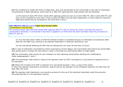**(1)** The conditions to modify the limits on flight duty, duty and rest periods by the commander in the case of unforeseen circumstances in flight operations, which start at or after the reporting time, shall comply with the following:

(i) the maximum daily FDP which results after applying points (b) and (e) of point ORO.FTL.205 or point ORO.FTL.220 may not be increased by more than 2 hours unless the flight crew has been augmented, in which case the maximum flight duty period may be increased by not more than 3 hours;

#### **GM1 ORO.FTL.205 (f) (1) (i) Flight Duty Period (FDP)**  COMMANDER'S DISCRETION

The maximum basic daily FDP that results after applying ORO.FTL.205 (b) should be used to calculate the limits of commander's discretion, if commander's discretion is applied to an FDP which has been extended under the provisions of ORO.FTL.205 (d).

(ii) if on the final sector within an FDP the allowed increase is exceeded because of unforeseen circumstances after take-off, the flight may continue to the planned destination or alternate aerodrome; and

(iii) the rest period following the FDP may be reduced but can never be less than 10 hours.

**(2)** In case of unforeseen circumstances which could lead to severe fatigue, the commander shall reduce the actual flight duty period and/or increase the rest period in order to eliminate any detrimental effect on flight safety.

**(3)** The commander shall consult all crew members on their alertness levels before deciding the modifications under subparagraphs 1 and 2.

**(4)** The commander shall submit a report to the operator when an FDP is increased or a rest period is reduced at his or her discretion.

**(5)** Where the increase of an FDP or reduction of a rest period exceeds 1 hour, a copy of the report, to which the operator shall add its comments, shall be sent by the operator to the competent authority not later than 28 days after the event.

**(6)** The operator shall implement a non-punitive process for the use of the discretion described under this provision and shall describe it in the operations manual.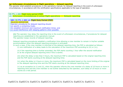#### **(g) Unforeseen circumstances in flight operations — delayed reporting**

The operator shall establish procedures, in the operations manual, for delayed reporting in the event of unforeseen circumstances, in accordance with the certification specifications applicable to the type of operation.

| CS FTL.1.205 Flight duty period (FDP)<br>(d) Unforeseen circumstances in actual flight operations - Delayed reporting                                                                                                                                                                                                                                                                                             |
|-------------------------------------------------------------------------------------------------------------------------------------------------------------------------------------------------------------------------------------------------------------------------------------------------------------------------------------------------------------------------------------------------------------------|
| GM1 CS FTL.1.205 (d) Flight Duty Period (FDP)<br><b>DELAYED REPORTING</b><br>Operator procedures for delayed reporting should:<br>(a) specify a contacting mode;<br>(b) establish minimum and maximum notification times; and<br>(c) avoid interference with sleeping patterns when possible.                                                                                                                     |
| (1) The operator may delay the reporting time in the event of unforeseen circumstances, if procedures for delayed<br>reporting are established in the operations manual.<br>The operator keeps records of delayed reporting.                                                                                                                                                                                      |
| Delayed reporting procedures establish a notification time allowing a crew member to remain in his/her suitable<br>accommodation when the delayed reporting procedure is activated.<br>In such a case, if the crew member is informed of the delayed reporting time, the FDP is calculated as follows:<br>(i) one notification of a delay leads to the calculation of the maximum FDP according to (iii) or (iv); |
| (ii) if the reporting time is further amended, the FDP starts counting 1 hour after the second notification<br>or at the original delayed reporting time if this is earlier;                                                                                                                                                                                                                                      |
| (iii) when the delay is less than 4 hours, the maximum FDP is calculated based on the original reporting time<br>and the FDP starts counting at the delayed reporting time;                                                                                                                                                                                                                                       |
| (iv) when the delay is 4 hours or more, the maximum FDP is calculated based on the more limiting of the original<br>or the delayed reporting time and the FDP starts counting at the delayed reporting time;                                                                                                                                                                                                      |
| (v) as an exception to (i) and (ii), when the operator informs the crew member of a delay of 10 hours or more in<br>reporting time and the crew member is not further disturbed by the operator, such delay of 10 hours or more<br>counts as a rest period.                                                                                                                                                       |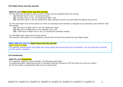#### **210 Flight times and duty periods**

#### **ORO.FTL.210 Flight times and duty periods**

(a) The total duty periods to which a crew member may be assigned shall not exceed:

- **(1)** 60 duty hours in any 7 consecutive days;
- **(2)** 110 duty hours in any 14 consecutive days; and
- **(3)** 190 duty hours in any 28 consecutive days, spread as evenly as practicable throughout that period.

(b) The total flight time of the sectors on which an individual crew member is assigned as an operating crew member shall not exceed:

**(1)** 100 hours of flight time in any 28 consecutive days;

**(2)** 900 hours of flight time in any calendar year; and

**(3)** 1 000 hours of flight time in any 12 consecutive calendar months.

(c) Post-flight duty shall count as duty period.

The operator shall specify in its operations manual the minimum time period for post-flight duties.

#### **AMC1 ORO.FTL.210 (c) Flight times and duty periods**

POST-FLIGHT DUTIES

The operator should specify post-flight duty times taking into account the type of operation, the size and type of aircraft and the airport conditions.

#### **215 Positioning**

#### **ORO.FTL.215 Positioning**

If an operator positions a crew member, the following shall apply:

- (a) positioning after reporting but prior to operating shall be counted as FDP but shall not count as a sector;
- (b) all time spent on positioning shall count as duty period.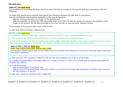#### **220 Split duty**

#### **ORO.FTL.220 Split duty**

The conditions for extending the basic maximum daily FDP due to a break on the ground shall be in accordance with the following:

(a) flight time specification schemes shall specify the following elements for split duty in accordance with the certification specifications applicable to the type of operation:

**(1)** the minimum duration of a break on the ground; and

**(2)** the possibility to extend the FDP prescribed under point ORO.FTL.205 (b) taking into account the duration of the break on the ground, the facilities provided to the crew member to rest and other relevant factors;

(b) the break on the ground shall count in full as FDP;

(c) split duty shall not follow a reduced rest.

#### **CS FTL.1.220 Split duty**

The increase of limits on flight duty, under the provisions of ORO.FTL.220, complies with the following:

(a) The break on the ground within the FDP has a minimum duration of 3 consecutive hours.

(b) The break excludes the time allowed for post and pre-flight duties and travelling. The minimum total time for post and preflight duties and travelling is 30 minutes. The operator specifies the actual times in its operations manual.

#### **GM1 CS FTL.1.220 (b) Split duty**

POST, PRE-FLIGHT DUTY AND TRAVELLING TIMES

The operator should specify post and pre-flight duty and travelling times taking into account aircraft type, type of operation and airport conditions.

(c) The maximum FDP specified in ORO.FTL.205 (b) may be increased by up to 50 % of the break.

(d) Suitable accommodation is provided either for a break of 6 hours or more or for a break that encroaches the window of circadian low (WOCL).

(e) In all other cases:

**(1)** accommodation is provided; and

**(2)** any time of the actual break exceeding 6 hours or any time of the break that encroaches the WOCL does not count for the extension of the FDP.

(f) Split duty cannot be combined with in-flight rest.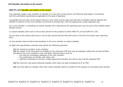#### **225 Standby and duties at the airport**

#### **ORO.FTL.225 Standby and duties at the airport**

If an operator assigns crew members to standby or to any duty at the airport, the following shall apply in accordance with the certification specifications applicable to the type of operation:

(a) standby and any duty at the airport shall be in the roster and the start and end time of standby shall be defined and notified in advance to the crew members concerned to provide them with the opportunity to plan adequate rest;

(b) a crew member is considered on airport standby from reporting at the reporting point until the end of the notified airport standby period;

(c) airport standby shall count in full as duty period for the purpose of points ORO.FTL.210 and ORO.FTL.235;

(d) any duty at the airport shall count in full as duty period and the FDP shall count in full from the airport duty reporting time;

(e) the operator shall provide accommodation to the crew member on airport standby;

(f) flight time specification schemes shall specify the following elements:

**(1)** the maximum duration of any standby;

**(2)** the impact of the time spent on standby on the maximum FDP that may be assigned, taking into account facilities provided to the crew member to rest, and other relevant factors such as:

- the need for immediate readiness of the crew member,
- the interference of standby with sleep, and
- sufficient notification to protect a sleep opportunity between the call for duty and the assigned FDP;

**(3)** the minimum rest period following standby which does not lead to assignment of an FDP;

**(4)** how time spent on standby other than airport standby shall be counted for the purpose of cumulative duty periods.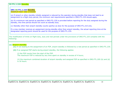#### **CS FTL.1.225 Standby**

#### **GM1 CS FTL.1.225 Standby** MINIMUM REST AND STANDBY

(a) If airport or other standby initially assigned is reduced by the operator during standby that does not lead to an assignment to a flight duty period, the minimum rest requirements specified in ORO.FTL.235 should apply.

(b) If a minimum rest period as specified in ORO.FTL.235 is provided before reporting for the duty assigned during the standby, this time period should not count as standby duty.

(c) Standby other than airport standby counts (partly) as duty for the purpose of ORO.FTL.210 only.

If a crew member receives an assignment during standby other than airport standby, the actual reporting time at the designated reporting point should be used for the purpose of ORO.FTL.235.

The modification of limits on flight duty, duty and rest periods under the provisions of ORO.FTL.225 complies with the following:

#### **(a) Airport standby**

**(1)** If not leading to the assignment of an FDP, airport standby is followed by a rest period as specified in ORO.FTL.235.

**(2)** If an assigned FDP starts during airport standby, the following applies:

(i) the FDP counts from the start of the FDP.

The maximum FDP is reduced by any time spent on standby in excess of 4 hours;

(ii) the maximum combined duration of airport standby and assigned FDP as specified in ORO.FTL.205 (b) and (d) is 16 hours.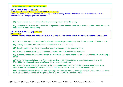#### **(b)Standby other than airport standby:**

#### **GM1 CS FTL.1.225 (b) Standby**

STANDBY OTHER THAN AIRPORT STANDBY NOTIFICATION

Operator procedures for the notification of assigned duties during standby other than airport standby should avoid interference with sleeping patterns if possible.

**(1)** The maximum duration of standby other than airport standby is 16 hours;

**(2)** The operator's standby procedures are designed to ensure that the combination of standby and FDP do not lead to more than 18 hours awake time;

**GM1 CS FTL.1.225 (b) (2) Standby**  AWAKE TIME

Scientific research shows that continuous awake in excess of 18 hours can reduce the alertness and should be avoided.

**(3)** 25 % of time spent on standby other than airport standby counts as duty time for the purpose of ORO.FTL.210;

**(4)** standby is followed by a rest period in accordance with ORO.FTL.235;

**(5)** Standby ceases when the crew member reports at the designated reporting point;

**(6)** If standby ceases within the first 6 hours, the maximum FDP counts from reporting;

**(7)** If standby ceases after the first 6 hours, the maximum FDP is reduced by the amount of standby time exceeding 6 hours;

**(8)** If the FDP is extended due to in-flight rest according to CS FTL.1.205 (c), or to split duty according to CS FTL.1.220, the 6 hours of paragraph (6) and (7) are extended to 8 hours;

**(9)** If standby starts between 23:00 and 07:00, the time between 23:00 and 07:00 does not count towards the reduction of the FDP under (6), (7) and (8) until the crew member is contacted by the operator; and

**(10)** The response time between call and reporting time established by the operator allows the crew member to arrive from his/her place of rest to the designated reporting point within a reasonable time.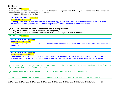#### **230 Reserve**

#### **ORO.FTL.230 Reserve**

If an operator assigns crew members to reserve, the following requirements shall apply in accordance with the certification specifications applicable to the type of operation:

(a) reserve shall be in the roster;

#### **GM1 ORO.FTL.230 (a) Reserve**

#### ROSTERING OF RESERVE

Including reserve in a roster, also referred to as 'rostering', implies that a reserve period that does not result in a duty period may not retrospectively be considered as part of a recurrent extended recovery rest period.

(b) flight time specification schemes shall specify the following elements:

- **(1)** the maximum duration of any single reserve period;
- **(2)** the number of consecutive reserve days that may be assigned to a crew member.

#### **CS FTL.1.230 Reserve**

#### **GM1 CS FTL.1.230 Reserve**

#### RESERVE NOTIFICATION

Operator procedures for the notification of assigned duties during reserve should avoid interference with sleeping patterns if possible.

#### **GM2 CS FTL.1.230 Reserve**  NOTIFICATION IN ADVANCE

The minimum 'at least 10 hours' between the notification of an assignment for any duty and reporting for that duty during reserve may include the period of 8 hours during which a crew member on reserve is not contacted by the operator.

The operator assigns duties to a crew member on reserve under the provisions of ORO.FTL.230 complying with the following: (a) An assigned FDP counts from the reporting time.

(b) Reserve times do not count as duty period for the purpose of ORO.FTL.210 and ORO.FTL.235.

(c)The operator defines the maximum number of consecutive reserve days within the limits of ORO.FTL.235 (d).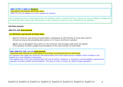**GM1 CS FTL.1.230 (c) Reserve**  RECURRENT EXTENDED RECOVERY REST ORO.FTL.235 (d) applies to a crew member on reserve.

(d) To protect an 8-hour sleep opportunity, the operator rosters a period of 8 hours, taking into account fatigue management principles,for each reserve day during which a crew member on reserve is not contacted by the operator.

#### **235 Rest periods**

#### **ORO.FTL.235 Rest periods**

#### **(a) Minimum rest period at home base.**

**(1)** The minimum rest period provided before undertaking an FDP starting at home base shall be at least as long as the preceding duty period, or 12 hours, whichever is greater.

**(2)** By way of derogation from point (1), the minimum rest provided under point (b) applies if the operator provides suitable accommodation to the crew member at home base.

#### **GM1 ORO.FTL.235 (a) (2) Rest periods**

MINIMUM REST PERIOD AT HOME BASE IF SUITABLE ACCOMMODATION IS PROVIDED An operator may apply the minimum rest period away from home base during a rotation which includes a rest period at a crew member's home base.

This applies only if the crew member does not rest at his/her residence, or temporary accommodation, because the operator provides suitable accommodation. This type of roster is known as "back-to-back operation".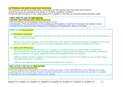#### **(b) Minimum rest period away from home base**.

The minimum rest period provided before undertaking an FDP starting away from home base shall be at least as long as the preceding duty period, or 10 hours, whichever is greater.

This period shall include an 8-hour sleep opportunity in addition to the time for travelling and physiological needs.

#### **AMC1 ORO.FTL.235 (b) Rest periods**

MINIMUM REST PERIOD AWAY FROM HOME BASE

The time allowed for physiological needs should be 1 hour.

Consequently, if the travelling time to the suitable accommodation is more than 30 minutes, the operator should increase the rest period by twice the amount of difference of travelling time above 30 minutes.

#### **CS FTL.1.235 Rest periods**

#### (**a) Disruptive schedules**

**(1)** If a transition from a late finish/night duty to an early start is planned at home base, the rest period between the 2 FDPs includes 1 local night.

**(2)** If a crew member performs 4 or more night duties, early starts or late finishes between 2 extended recovery rest periods as defined in ORO.FTL.235 (d), the second extended recovery rest period is extended to 60 hours.

#### **(b) Time zone differences**

**(1)** For the purpose of ORO.FTL.235 (e) (1), 'rotation' is a series of duties, including at least one flight duty, and rest period out of home base, starting at home base and ending when returning to home base for a rest period where the operator is no longer responsible for the accommodation of the crew member.

**(2)** The operator monitors rotations and combinations of rotations in terms of their effect on crew member fatigue, and adapts the rosters as necessary.

**(3)**Time zone differences are compensated by additional rest, as follows:

#### **GM1 CS FTL.1.235 (b) (3) Rest periods**

TIME ELAPSED SINCE REPORTING

The time elapsed since reporting for a rotation involving at least a 4-hour time difference to the reference time stops counting when the crew member returns to his/her home base for a rest period during which the operator is no longer responsible for the accommodation of the crew member.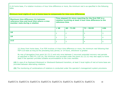(i) At home base, if a rotation involves a 4 hour time difference or more, the minimum rest is as specified in the following table.

**Minimum local nights of rest at home base to compensate for time zone differences**

| Maximum time difference (h) between<br>reference time and local time where a crew<br>member rests during a rotation | Time elapsed (h) since reporting for the first FDP in a<br>rotation involving at least 4 hour time difference to the<br>reference time |              |              |           |  |  |
|---------------------------------------------------------------------------------------------------------------------|----------------------------------------------------------------------------------------------------------------------------------------|--------------|--------------|-----------|--|--|
|                                                                                                                     | < 48                                                                                                                                   | $48 - 71:59$ | $72 - 95:59$ | $\geq 96$ |  |  |
| $\leq 6$                                                                                                            |                                                                                                                                        |              |              |           |  |  |
| $\leq 9$                                                                                                            |                                                                                                                                        |              |              |           |  |  |
| $\leq 12$                                                                                                           |                                                                                                                                        |              |              |           |  |  |

(ii) Away from home base, if an FDP involves a 4-hour time difference or more, the minimum rest following that FDP is at least as long as the preceding duty period, or 14 hours, whichever is greater.

By way of derogation from point (b) (3) (i) and only once between 2 recurrent extended recovery rest periods as specified in ORO.FTL.235 (d), the minimum rest provided under this point (b) (3) (ii) may also apply to home base if the operator provides suitable accommodation to the crew member.

**(4)** In case of an Eastward-Westward or Westward-Eastward transition, at least 3 local nights of rest at home base are provided between alternating rotations.

**(5)** The monitoring of combinations of rotations is conducted under the operator's management system provisions.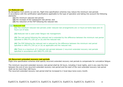#### **(c) Reduced rest**

By derogation from points (a) and (b), flight time specification schemes may reduce the minimum rest periods in accordance with the certification specifications applicable to the type of operation and taking into account the following elements:

- **(1)** the minimum reduced rest period;
- **(2)** the increase of the subsequent rest period; and
- **(3)** the reduction of the FDP following the reduced rest.

#### **(c) Reduced rest**

**(1)** The minimum reduced rest periods under reduced rest arrangements are 12 hours at home base and 10 hours out of base.

**(2)** Reduced rest is used under fatigue risk management.

**(3)** The rest period following the reduced rest is extended by the difference between the minimum rest period specified in ORO.FTL.235 (a) or (b) and the reduced rest.

**(4)** The FDP following the reduced rest is reduced by the difference between the minimum rest period specified in ORO.FTL.235 (a) or (b) as applicable and the reduced rest.

**(5)** There is a maximum of 2 reduced rest periods between 2 recurrent extended recovery rest periods specified in accordance with ORO.FTL.235 (d).

#### **(d) Recurrent extended recovery rest periods**

Flight time specification schemes shall specify recurrent extended recovery rest periods to compensate for cumulative fatigue.

The minimum recurrent extended recovery rest period shall be 36 hours, including 2 local nights, and in any case the time between the end of one recurrent extended recovery rest period and the start of the next extended recovery rest period shall not be more than 168 hours.

The recurrent extended recovery rest period shall be increased to 2 local days twice every month.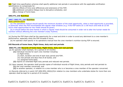**(e)** Flight time specification schemes shall specify additional rest periods in accordance with the applicable certification specifications to compensate for:

- **(1)** the effects of time zone differences and extensions of the FDP;
- **(2)** additional cumulative fatigue due to disruptive schedules; and
- **(3)** a change of home base.

#### **ORO.FTL.240 Nutrition**

#### **AMC1 ORO.FTL.240 Nutrition**

#### MEAL OPPORTUNITY

 (a) The operations manual should specify the minimum duration of the meal opportunity, when a meal opportunity is provided, in particular when the FDP encompasses the regular meal windows (e.g. if the FDP starts at 11:00 hours and ends at 22:00 hours meal opportunities for two meals should be given).

 (b) It should define the time frames in which a regular meal should be consumed in order not to alter the human needs for nutrition without affecting the crew member's body rhythms.

Ξ (a) During the FDP there shall be the opportunity for a meal and drink in order to avoid any detriment to a crew member's performance, especially when the FDP exceeds 6 hours.

(b) An operator shall specify in its operations manual how the crew member's nutrition during FDP is ensured.

#### **245 Records of home base, flight times, duty and rest periods**

#### **ORO.FTL.245 Records of home base, flight times, duty and rest periods**

- (a) An operator shall maintain, for a period of 24 months:
	- **(1)** individual records for each crew member including:
		- (i) flight times;
		- (ii) start, duration and end of each duty period and FDP;
		- (iii) rest periods and days free of all duties; and
		- (iv) assigned home base;
	- **(2)** reports on extended flight duty periods and reduced rest periods.
- (b) Upon request, the operator shall provide copies of individual records of flight times, duty periods and rest periods to:
	- **(1)** the crew member concerned; and
	- **(2)** to another operator, in relation to a crew member who is or becomes a crew member of the operator concerned.

(c) Records referred to in point CAT.GEN.MPA.100(b)(5)in relation to crew members who undertake duties for more than one operator shall be kept for a period of 24 months.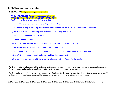#### **250 Fatigue management training**

#### **ORO.FTL.250 Fatigue management training**

#### **AMC1 ORO.FTL.250 Fatigue management training**  TRAINING SYLLABUS FATIGUE MANAGEMENT TRAINING The training syllabus should contain the following:

- (a) applicable regulatory requirements for flight, duty and rest;
- (b) the basics of fatigue including sleep fundamentals and the effects of disturbing the circadian rhythms;
- (c) the causes of fatigue, including medical conditions that may lead to fatigue;
- (d) the effect of fatigue on performance;
- (e) fatigue countermeasures;
- (f) the influence of lifestyle, including nutrition, exercise, and family life, on fatigue;
- (g) familiarity with sleep disorders and their possible treatments;
- (h) where applicable, the effects of long range operations and heavy short range schedules on individuals;
- (i) the effect of operating through and within multiple time zones; and
- (j) the crew member responsibility for ensuring adequate rest and fitness for flight duty

(a) The operator shall provide initial and recurrent fatigue management training to crew members, personnel responsible for preparation and maintenance of crew rosters and management personnel concerned.

(b) This training shall follow a training programme established by the operator and described in the operations manual. The training syllabus shall cover the possible causes and effects of fatigue and fatigue countermeasure.'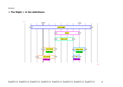Annexe

#### **« The Night » in the definitions**

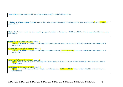'**Local night**' means a period of 8 hours falling between 22:00 and 08:00 local time.

**Window of Circadian Low (WOCL)**' means the period between 02:00 and 05:59 hours in the time zone to which a crew member is acclimatised.

'**Night duty**' means a duty period encroaching any portion of the period between 02:00 and 04:59 in the time zone to which the crew is acclimatised.

**Late type'** of disruptive schedule means : (2) for '**late finish**' a duty period finishing in the period between 00:00 and 01:59 in the time zone to which a crew member is acclimatised.

'**Early type**' of disruptive schedule means : (2) for '**late finish**' a duty period finishing in the period between 23:00 and 01:59 in the time zone to which a crew member is acclimatised.

'**Late type**' of disruptive schedule means :

(1) for '**early start**' a duty period starting in the period between 05:00 and 06:59 in the time zone to which a crew member is acclimatized ;

**'Early type'** of disruptive schedule means :

(1) for '**early start**' a duty period starting in the period between 05:00 and 05:59 in the time zone to which a crew member is acclimatized ;